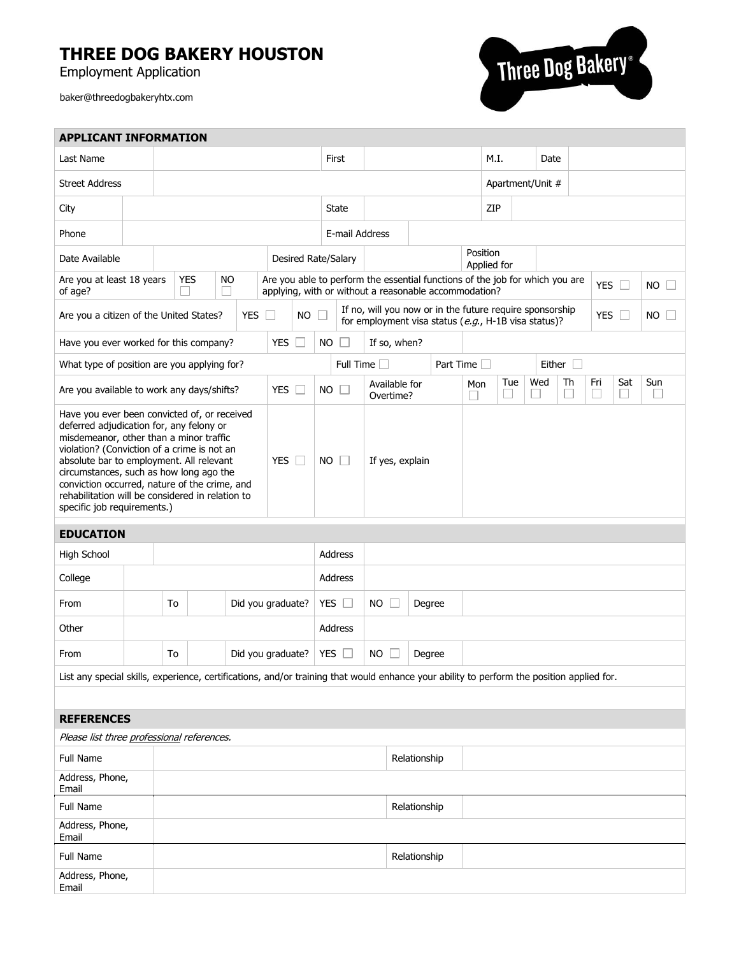## **THREE DOG BAKERY HOUSTON**

Employment Application

baker@threedogbakeryhtx.com



| <b>APPLICANT INFORMATION</b>                                                                                                                                                                                                                                                                                                                                                                                                   |                                                           |    |  |  |                   |                |        |           |                     |                            |                                                                                                                                       |                     |                  |          |             |     |     |                                |            |              |           |
|--------------------------------------------------------------------------------------------------------------------------------------------------------------------------------------------------------------------------------------------------------------------------------------------------------------------------------------------------------------------------------------------------------------------------------|-----------------------------------------------------------|----|--|--|-------------------|----------------|--------|-----------|---------------------|----------------------------|---------------------------------------------------------------------------------------------------------------------------------------|---------------------|------------------|----------|-------------|-----|-----|--------------------------------|------------|--------------|-----------|
| Last Name                                                                                                                                                                                                                                                                                                                                                                                                                      |                                                           |    |  |  |                   |                |        | First     |                     |                            |                                                                                                                                       |                     | M.I.<br>Date     |          |             |     |     |                                |            |              |           |
| <b>Street Address</b>                                                                                                                                                                                                                                                                                                                                                                                                          |                                                           |    |  |  |                   |                |        |           |                     |                            |                                                                                                                                       |                     | Apartment/Unit # |          |             |     |     |                                |            |              |           |
| City                                                                                                                                                                                                                                                                                                                                                                                                                           |                                                           |    |  |  |                   |                |        |           | State               |                            |                                                                                                                                       |                     |                  |          | ZIP         |     |     |                                |            |              |           |
| Phone                                                                                                                                                                                                                                                                                                                                                                                                                          |                                                           |    |  |  |                   |                |        |           | E-mail Address      |                            |                                                                                                                                       |                     |                  |          |             |     |     |                                |            |              |           |
| Date Available                                                                                                                                                                                                                                                                                                                                                                                                                 | Desired Rate/Salary                                       |    |  |  |                   |                |        |           |                     |                            |                                                                                                                                       |                     |                  | Position | Applied for |     |     |                                |            |              |           |
| of age?                                                                                                                                                                                                                                                                                                                                                                                                                        | <b>YES</b><br><b>NO</b><br>Are you at least 18 years<br>H |    |  |  |                   |                |        |           |                     |                            | Are you able to perform the essential functions of the job for which you are<br>applying, with or without a reasonable accommodation? |                     |                  |          |             |     |     |                                | <b>YES</b> | $\mathbf{1}$ | <b>NO</b> |
| If no, will you now or in the future require sponsorship<br><b>YES</b><br><b>NO</b><br><b>YES</b><br>Are you a citizen of the United States?<br>NO.<br>for employment visa status ( $e.g., H-1B$ visa status)?                                                                                                                                                                                                                 |                                                           |    |  |  |                   |                |        |           |                     |                            |                                                                                                                                       |                     |                  |          |             |     |     |                                |            |              |           |
| <b>YES</b><br>П<br>Have you ever worked for this company?                                                                                                                                                                                                                                                                                                                                                                      |                                                           |    |  |  |                   |                |        | <b>NO</b> | $\Box$              |                            | If so, when?                                                                                                                          |                     |                  |          |             |     |     |                                |            |              |           |
| What type of position are you applying for?                                                                                                                                                                                                                                                                                                                                                                                    |                                                           |    |  |  |                   |                |        |           | Full Time $\square$ |                            |                                                                                                                                       | Part Time $\square$ |                  |          |             |     |     | Either $\Box$                  |            |              |           |
| Are you available to work any days/shifts?                                                                                                                                                                                                                                                                                                                                                                                     |                                                           |    |  |  |                   | YES            | $\Box$ | NO        | □                   | Available for<br>Overtime? |                                                                                                                                       |                     |                  | Mon      |             | Tue | Wed | Th<br>$\overline{\phantom{a}}$ | Fri        | Sat          | Sun       |
| Have you ever been convicted of, or received<br>deferred adjudication for, any felony or<br>misdemeanor, other than a minor traffic<br>violation? (Conviction of a crime is not an<br>absolute bar to employment. All relevant<br>YES<br>$\Box$<br>circumstances, such as how long ago the<br>conviction occurred, nature of the crime, and<br>rehabilitation will be considered in relation to<br>specific job requirements.) |                                                           |    |  |  |                   | <b>NO</b><br>ш |        |           | If yes, explain     |                            |                                                                                                                                       |                     |                  |          |             |     |     |                                |            |              |           |
|                                                                                                                                                                                                                                                                                                                                                                                                                                |                                                           |    |  |  |                   |                |        |           |                     |                            |                                                                                                                                       |                     |                  |          |             |     |     |                                |            |              |           |
| <b>EDUCATION</b>                                                                                                                                                                                                                                                                                                                                                                                                               |                                                           |    |  |  |                   |                |        |           |                     |                            |                                                                                                                                       |                     |                  |          |             |     |     |                                |            |              |           |
| High School                                                                                                                                                                                                                                                                                                                                                                                                                    |                                                           |    |  |  |                   |                |        |           | Address             |                            |                                                                                                                                       |                     |                  |          |             |     |     |                                |            |              |           |
| College                                                                                                                                                                                                                                                                                                                                                                                                                        |                                                           |    |  |  |                   |                |        |           | Address             |                            |                                                                                                                                       |                     |                  |          |             |     |     |                                |            |              |           |
| From                                                                                                                                                                                                                                                                                                                                                                                                                           |                                                           | To |  |  | Did you graduate? |                |        |           | YES $\Box$          | <b>NO</b><br>ĪΙ            |                                                                                                                                       | Degree              |                  |          |             |     |     |                                |            |              |           |
| Other                                                                                                                                                                                                                                                                                                                                                                                                                          |                                                           |    |  |  |                   |                |        |           | Address             |                            |                                                                                                                                       |                     |                  |          |             |     |     |                                |            |              |           |
| From                                                                                                                                                                                                                                                                                                                                                                                                                           |                                                           | To |  |  | Did you graduate? |                |        | YES       | $\Box$              | <b>NO</b>                  |                                                                                                                                       | Degree              |                  |          |             |     |     |                                |            |              |           |
| List any special skills, experience, certifications, and/or training that would enhance your ability to perform the position applied for.                                                                                                                                                                                                                                                                                      |                                                           |    |  |  |                   |                |        |           |                     |                            |                                                                                                                                       |                     |                  |          |             |     |     |                                |            |              |           |
|                                                                                                                                                                                                                                                                                                                                                                                                                                |                                                           |    |  |  |                   |                |        |           |                     |                            |                                                                                                                                       |                     |                  |          |             |     |     |                                |            |              |           |
| <b>REFERENCES</b>                                                                                                                                                                                                                                                                                                                                                                                                              |                                                           |    |  |  |                   |                |        |           |                     |                            |                                                                                                                                       |                     |                  |          |             |     |     |                                |            |              |           |
| Please list three professional references.                                                                                                                                                                                                                                                                                                                                                                                     |                                                           |    |  |  |                   |                |        |           |                     |                            |                                                                                                                                       |                     |                  |          |             |     |     |                                |            |              |           |
| Full Name                                                                                                                                                                                                                                                                                                                                                                                                                      |                                                           |    |  |  |                   |                |        |           |                     |                            | Relationship                                                                                                                          |                     |                  |          |             |     |     |                                |            |              |           |
| Address, Phone,<br>Email                                                                                                                                                                                                                                                                                                                                                                                                       |                                                           |    |  |  |                   |                |        |           |                     |                            |                                                                                                                                       |                     |                  |          |             |     |     |                                |            |              |           |
| Full Name                                                                                                                                                                                                                                                                                                                                                                                                                      |                                                           |    |  |  |                   |                |        |           |                     |                            | Relationship                                                                                                                          |                     |                  |          |             |     |     |                                |            |              |           |
| Address, Phone,<br>Email                                                                                                                                                                                                                                                                                                                                                                                                       |                                                           |    |  |  |                   |                |        |           |                     |                            |                                                                                                                                       |                     |                  |          |             |     |     |                                |            |              |           |
| Full Name                                                                                                                                                                                                                                                                                                                                                                                                                      |                                                           |    |  |  |                   |                |        |           |                     |                            | Relationship                                                                                                                          |                     |                  |          |             |     |     |                                |            |              |           |